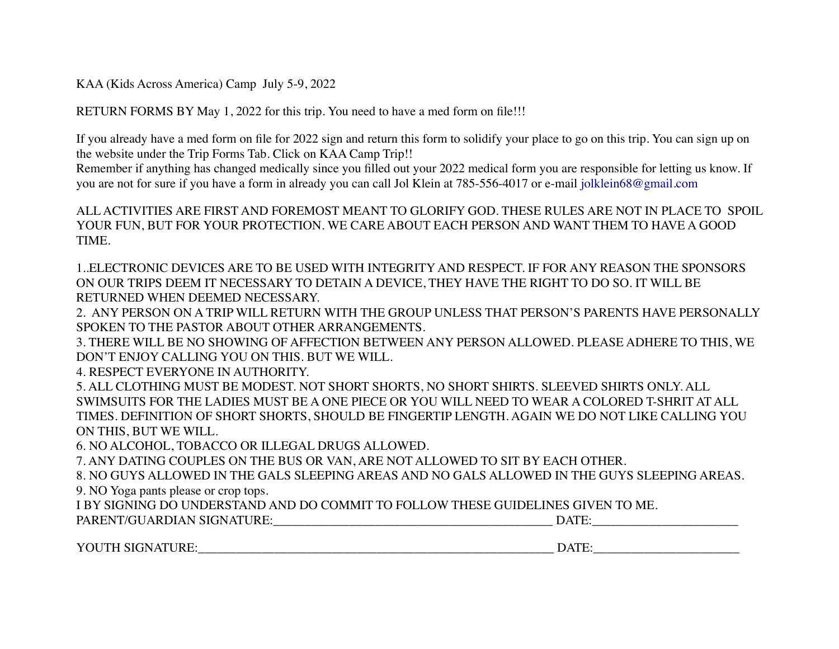KAA (Kids Across America) Camp July 5-9, 2022

RETURN FORMS BY May 1, 2022 for this trip. You need to have a med form on file!!!

If you already have a med form on file for 2022 sign and return this form to solidify your place to go on this trip. You can sign up on the website under the Trip Forms Tab. Click on KAA Camp Trip!!

Remember if anything has changed medically since you filled out your 2022 medical form you are responsible for letting us know. If you are not for sure if you have a form in already you can call Jol Klein at 785-556-4017 or e-mail jolklein68@gmail.com

ALL ACTIVITIES ARE FIRST AND FOREMOST MEANT TO GLORIFY GOD. THESE RULES ARE NOT IN PLACE TO SPOIL YOUR FUN, BUT FOR YOUR PROTECTION. WE CARE ABOUT EACH PERSON AND WANT THEM TO HAVE A GOOD TIME.

1..ELECTRONIC DEVICES ARE TO BE USED WITH INTEGRITY AND RESPECT. IF FOR ANY REASON THE SPONSORS ON OUR TRIPS DEEM IT NECESSARY TO DETAIN A DEVICE, THEY HAVE THE RIGHT TO DO SO. IT WILL BE RETURNED WHEN DEEMED NECESSARY.

2. ANY PERSON ON A TRIP WILL RETURN WITH THE GROUP UNLESS THAT PERSON'S PARENTS HAVE PERSONALLY SPOKEN TO THE PASTOR ABOUT OTHER ARRANGEMENTS.

3. THERE WILL BE NO SHOWING OF AFFECTION BETWEEN ANY PERSON ALLOWED. PLEASE ADHERE TO THIS, WE DON'T ENJOY CALLING YOU ON THIS. BUT WE WILL.

4. RESPECT EVERYONE IN AUTHORITY.

5. ALL CLOTHING MUST BE MODEST. NOT SHORT SHORTS, NO SHORT SHIRTS. SLEEVED SHIRTS ONLY. ALL SWIMSUITS FOR THE LADIES MUST BE A ONE PIECE OR YOU WILL NEED TO WEAR A COLORED T-SHRIT AT ALL TIMES. DEFINITION OF SHORT SHORTS, SHOULD BE FINGERTIP LENGTH. AGAIN WE DO NOT LIKE CALLING YOU ON THIS, BUT WE WILL.

6. NO ALCOHOL, TOBACCO OR ILLEGAL DRUGS ALLOWED.

7. ANY DATING COUPLES ON THE BUS OR VAN, ARE NOT ALLOWED TO SIT BY EACH OTHER.

8. NO GUYS ALLOWED IN THE GALS SLEEPING AREAS AND NO GALS ALLOWED IN THE GUYS SLEEPING AREAS. 9. NO Yoga pants please or crop tops.

I BY SIGNING DO UNDERSTAND AND DO COMMIT TO FOLLOW THESE GUIDELINES GIVEN TO ME.

| PARENT/GUARDIAN SIGNATURE: | ATIT |
|----------------------------|------|
|----------------------------|------|

YOUTH SIGNATURE:\_\_\_\_\_\_\_\_\_\_\_\_\_\_\_\_\_\_\_\_\_\_\_\_\_\_\_\_\_\_\_\_\_\_\_\_\_\_\_\_\_\_\_\_\_\_\_\_\_\_\_\_\_\_\_\_ DATE:\_\_\_\_\_\_\_\_\_\_\_\_\_\_\_\_\_\_\_\_\_\_\_